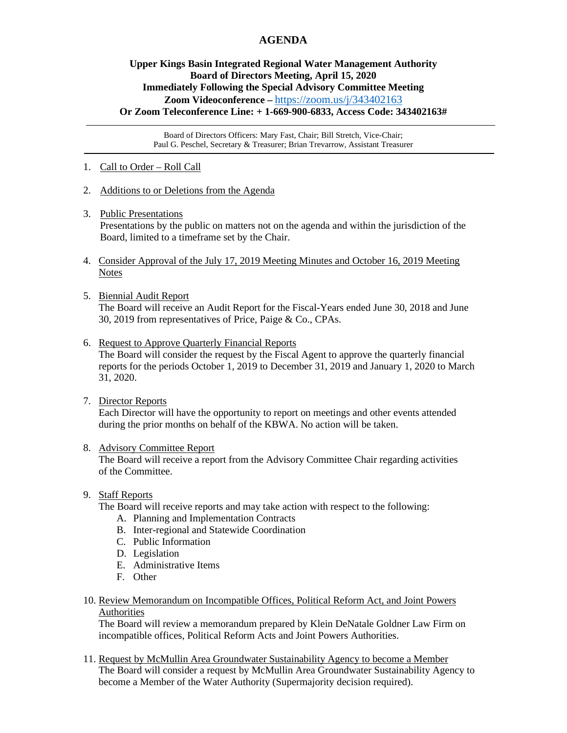# **AGENDA**

## **Upper Kings Basin Integrated Regional Water Management Authority Board of Directors Meeting, April 15, 2020 Immediately Following the Special Advisory Committee Meeting Zoom Videoconference –** <https://zoom.us/j/343402163> **Or Zoom Teleconference Line: + 1-669-900-6833, Access Code: 343402163#**

Board of Directors Officers: Mary Fast, Chair; Bill Stretch, Vice-Chair; Paul G. Peschel, Secretary & Treasurer; Brian Trevarrow, Assistant Treasurer

- 1. Call to Order Roll Call
- 2. Additions to or Deletions from the Agenda
- 3. Public Presentations

Presentations by the public on matters not on the agenda and within the jurisdiction of the Board, limited to a timeframe set by the Chair.

- 4. Consider Approval of the July 17, 2019 Meeting Minutes and October 16, 2019 Meeting **Notes**
- 5. Biennial Audit Report The Board will receive an Audit Report for the Fiscal-Years ended June 30, 2018 and June 30, 2019 from representatives of Price, Paige & Co., CPAs.
- 6. Request to Approve Quarterly Financial Reports

 The Board will consider the request by the Fiscal Agent to approve the quarterly financial reports for the periods October 1, 2019 to December 31, 2019 and January 1, 2020 to March 31, 2020.

7. Director Reports

 Each Director will have the opportunity to report on meetings and other events attended during the prior months on behalf of the KBWA. No action will be taken.

#### 8. Advisory Committee Report

 The Board will receive a report from the Advisory Committee Chair regarding activities of the Committee.

#### 9. Staff Reports

The Board will receive reports and may take action with respect to the following:

- A. Planning and Implementation Contracts
- B. Inter-regional and Statewide Coordination
- C. Public Information
- D. Legislation
- E. Administrative Items
- F. Other
- 10. Review Memorandum on Incompatible Offices, Political Reform Act, and Joint Powers Authorities

 The Board will review a memorandum prepared by Klein DeNatale Goldner Law Firm on incompatible offices, Political Reform Acts and Joint Powers Authorities.

11. Request by McMullin Area Groundwater Sustainability Agency to become a Member The Board will consider a request by McMullin Area Groundwater Sustainability Agency to become a Member of the Water Authority (Supermajority decision required).